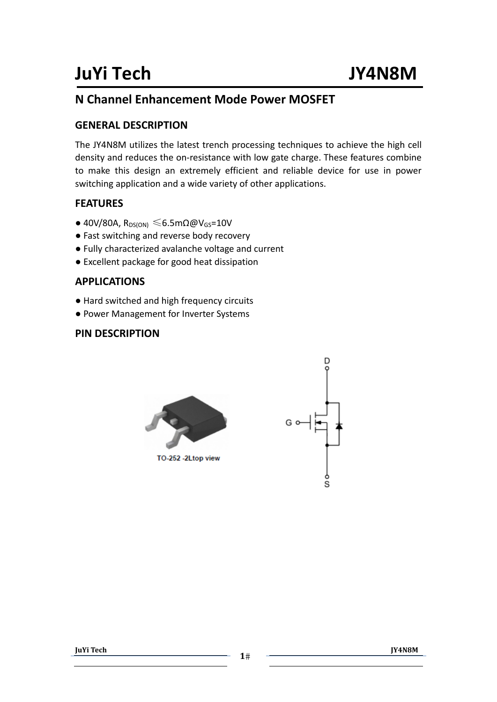### **N Channel Enhancement Mode Power MOSFET**

#### **GENERAL DESCRIPTION**

The JY4N8M utilizes the latest trench processing techniques to achieve the high cell density and reduces the on‐resistance with low gate charge. These features combine to make this design an extremely efficient and reliable device for use in power switching application and a wide variety of other applications.

### **FEATURES**

- $\bullet$  40V/80A, R<sub>DS(ON)</sub>  $\leq 6.5$ m $\Omega \omega$ V<sub>GS</sub>=10V
- Fast switching and reverse body recovery
- Fully characterized avalanche voltage and current
- Excellent package for good heat dissipation

#### **APPLICATIONS**

- Hard switched and high frequency circuits
- Power Management for Inverter Systems

#### **PIN DESCRIPTION**





**JuYi Tech**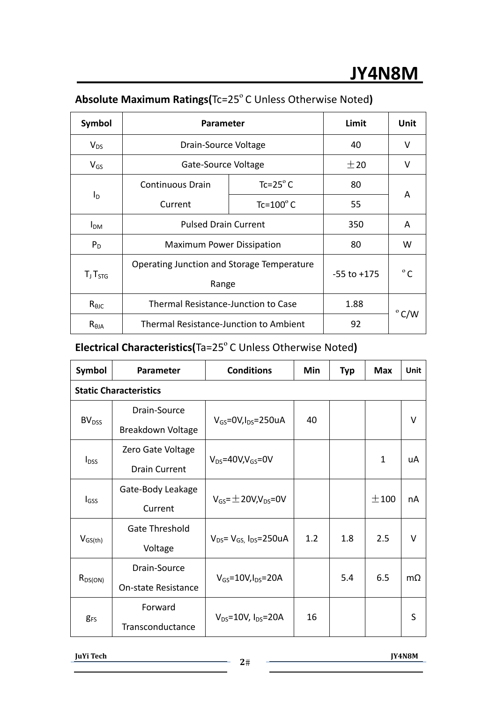| Symbol          | <b>Parameter</b>                              | Limit               | <b>Unit</b>     |              |  |
|-----------------|-----------------------------------------------|---------------------|-----------------|--------------|--|
| $V_{DS}$        | Drain-Source Voltage                          |                     | 40              | v            |  |
| $V_{GS}$        | Gate-Source Voltage                           |                     | ±20             | v            |  |
|                 | <b>Continuous Drain</b>                       | $Tc = 25^\circ C$   | 80              | A            |  |
| $I_D$           | Current                                       | Tc= $100^{\circ}$ C | 55              |              |  |
| I <sub>DM</sub> | <b>Pulsed Drain Current</b>                   |                     | 350             | A            |  |
| $P_D$           | <b>Maximum Power Dissipation</b>              |                     | 80              | W            |  |
|                 | Operating Junction and Storage Temperature    |                     | $-55$ to $+175$ | $^{\circ}$ C |  |
| $T_J T_{STG}$   | Range                                         |                     |                 |              |  |
| $R_{\theta$ JC  | Thermal Resistance-Junction to Case           | 1.88                | $^{\circ}$ C/W  |              |  |
| $R_{\theta$ ja  | <b>Thermal Resistance-Junction to Ambient</b> | 92                  |                 |              |  |

## **Absolute Maximum Ratings(**Tc=25ºC Unless Otherwise Noted**)**

## **Electrical Characteristics(Ta=25°C Unless Otherwise Noted)**

| Symbol                        | Parameter                | <b>Conditions</b>                    | Min | <b>Typ</b> | <b>Max</b>   | Unit      |
|-------------------------------|--------------------------|--------------------------------------|-----|------------|--------------|-----------|
| <b>Static Characteristics</b> |                          |                                      |     |            |              |           |
| BV <sub>DSS</sub>             | Drain-Source             | $V_{GS}$ =0V, $I_{DS}$ =250uA        | 40  |            |              | V         |
|                               | <b>Breakdown Voltage</b> |                                      |     |            |              |           |
| $I_{DSS}$                     | Zero Gate Voltage        |                                      |     |            | $\mathbf{1}$ |           |
|                               | <b>Drain Current</b>     | $V_{DS}$ =40V,V <sub>GS</sub> =0V    |     |            |              | uA        |
| l <sub>GSS</sub>              | Gate-Body Leakage        | $V_{GS} = \pm 20V$ , $V_{DS} = 0V$   |     |            | $\pm$ 100    | nA        |
|                               | Current                  |                                      |     |            |              |           |
| $V_{GS(th)}$                  | <b>Gate Threshold</b>    |                                      | 1.2 | 1.8        | 2.5          | $\vee$    |
|                               | Voltage                  | $V_{DS} = V_{GS}$ , $I_{DS} = 250uA$ |     |            |              |           |
| $R_{DS(ON)}$                  | Drain-Source             |                                      |     | 5.4        | 6.5          | $m\Omega$ |
|                               | On-state Resistance      | $V_{GS}$ =10V, $I_{DS}$ =20A         |     |            |              |           |
| <b>g</b> <sub>FS</sub>        | Forward                  | $V_{DS}$ =10V, $I_{DS}$ =20A         | 16  |            |              | S         |
|                               | Transconductance         |                                      |     |            |              |           |

**JuYi Tech**

 $2\#$  **Transformation**  $\overline{Y4N8M}$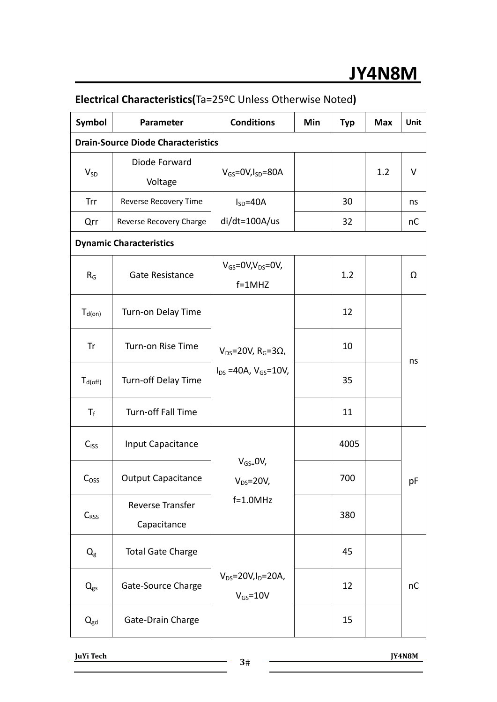# **JY4N8M**

| Symbol                                    | <b>Parameter</b>                | <b>Conditions</b>                                                            | Min | <b>Typ</b> | <b>Max</b> | <b>Unit</b> |  |
|-------------------------------------------|---------------------------------|------------------------------------------------------------------------------|-----|------------|------------|-------------|--|
| <b>Drain-Source Diode Characteristics</b> |                                 |                                                                              |     |            |            |             |  |
| $V_{SD}$                                  | Diode Forward<br>Voltage        | $V_{GS}$ =0V, $I_{SD}$ =80A                                                  |     |            | 1.2        | V           |  |
| Trr                                       | Reverse Recovery Time           | $I_{SD} = 40A$                                                               |     | 30         |            | ns          |  |
| Qrr                                       | Reverse Recovery Charge         | $di/dt = 100A/us$                                                            |     | 32         |            | nC          |  |
|                                           | <b>Dynamic Characteristics</b>  |                                                                              |     |            |            |             |  |
| $R_G$                                     | Gate Resistance                 | $V_{GS}$ =0V,V <sub>DS</sub> =0V,<br>$f=1$ MHZ                               |     | 1.2        |            | Ω           |  |
| $T_{d(on)}$                               | Turn-on Delay Time              | $V_{DS}$ =20V, R <sub>G</sub> =3 $\Omega$ ,<br>$I_{DS} = 40A, V_{GS} = 10V,$ |     | 12         |            | ns          |  |
| Tr                                        | Turn-on Rise Time               |                                                                              |     | 10         |            |             |  |
| $T_{d(off)}$                              | Turn-off Delay Time             |                                                                              |     | 35         |            |             |  |
| $T_f$                                     | Turn-off Fall Time              |                                                                              |     | 11         |            |             |  |
| C <sub>ISS</sub>                          | Input Capacitance               | $V_{GS=}$ OV,<br>$V_{DS} = 20V,$                                             |     | 4005       |            |             |  |
| C <sub>oss</sub>                          | <b>Output Capacitance</b>       |                                                                              |     | 700        |            | pF          |  |
| $C_{RSS}$                                 | Reverse Transfer<br>Capacitance | $f=1.0MHz$                                                                   |     | 380        |            |             |  |
| $Q_{\rm g}$                               | <b>Total Gate Charge</b>        | $V_{DS} = 20V, I_D = 20A,$<br>$V_{GS} = 10V$                                 |     | 45         |            |             |  |
| $Q_{gs}$                                  | Gate-Source Charge              |                                                                              |     | 12         |            | nC          |  |
| $Q_{gd}$                                  | Gate-Drain Charge               |                                                                              |     | 15         |            |             |  |

### **Electrical Characteristics(**Ta=25ºC Unless Otherwise Noted**)**

**JuYi Tech**

 $3\#$  **Transformation**  $JY4N8M$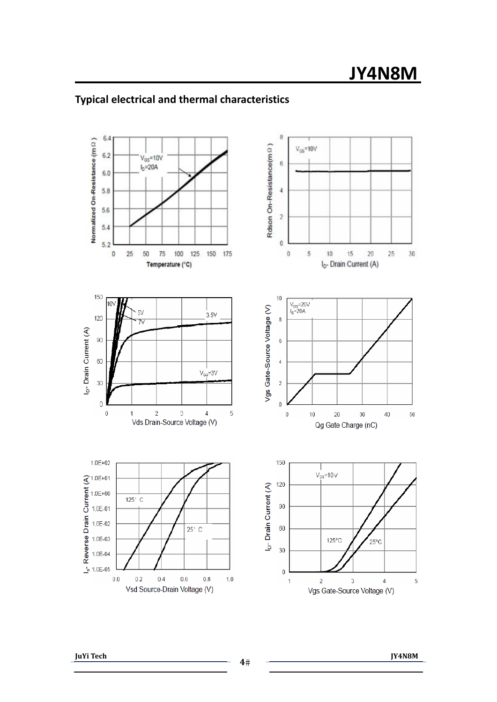

### **Typical electrical and thermal characteristics**

**JuYi Tech**

**<sup>4</sup> JY4N8M**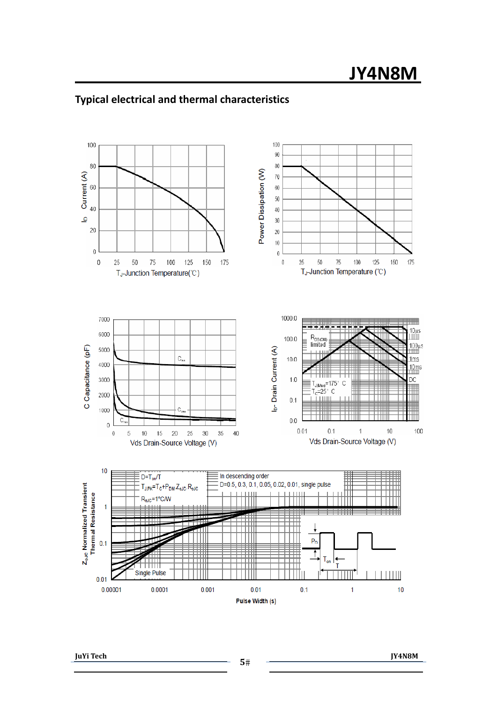

### **Typical electrical and thermal characteristics**

**JuYi Tech**

 $5#$  **The CONSTITUTE 19 IV4N8M**